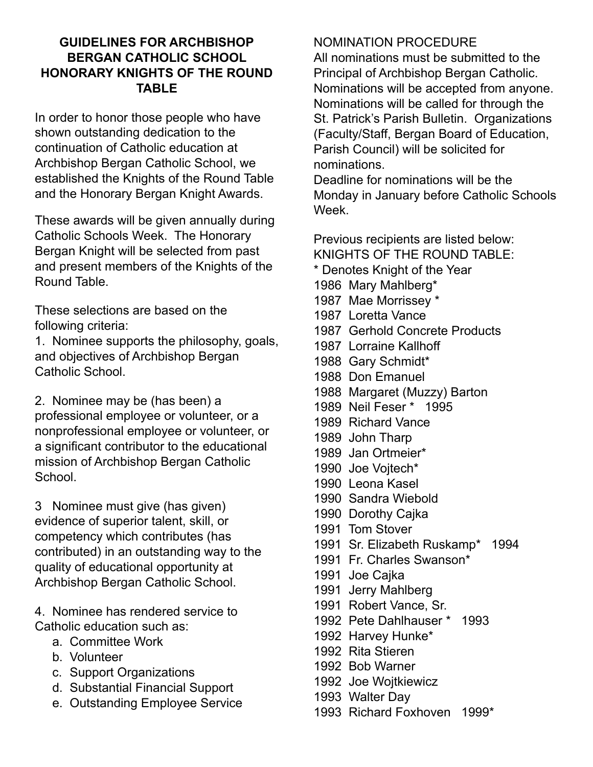# **GUIDELINES FOR ARCHBISHOP BERGAN CATHOLIC SCHOOL HONORARY KNIGHTS OF THE ROUND TABLE**

In order to honor those people who have shown outstanding dedication to the continuation of Catholic education at Archbishop Bergan Catholic School, we established the Knights of the Round Table and the Honorary Bergan Knight Awards.

These awards will be given annually during Catholic Schools Week. The Honorary Bergan Knight will be selected from past and present members of the Knights of the Round Table.

These selections are based on the following criteria:

1. Nominee supports the philosophy, goals, and objectives of Archbishop Bergan Catholic School.

2. Nominee may be (has been) a professional employee or volunteer, or a nonprofessional employee or volunteer, or a significant contributor to the educational mission of Archbishop Bergan Catholic School.

3 Nominee must give (has given) evidence of superior talent, skill, or competency which contributes (has contributed) in an outstanding way to the quality of educational opportunity at Archbishop Bergan Catholic School.

4. Nominee has rendered service to Catholic education such as:

- a. Committee Work
- b. Volunteer
- c. Support Organizations
- d. Substantial Financial Support
- e. Outstanding Employee Service

# NOMINATION PROCEDURE

All nominations must be submitted to the Principal of Archbishop Bergan Catholic. Nominations will be accepted from anyone. Nominations will be called for through the St. Patrick's Parish Bulletin. Organizations (Faculty/Staff, Bergan Board of Education, Parish Council) will be solicited for nominations.

Deadline for nominations will be the Monday in January before Catholic Schools Week.

Previous recipients are listed below: KNIGHTS OF THE ROUND TABLE: \* Denotes Knight of the Year

- 1986 Mary Mahlberg\*
- 1987 Mae Morrissey \*
- 1987 Loretta Vance
- 1987 Gerhold Concrete Products
- 1987 Lorraine Kallhoff
- 1988 Gary Schmidt\*
- 1988 Don Emanuel
- 1988 Margaret (Muzzy) Barton
- 1989 Neil Feser \* 1995
- 1989 Richard Vance
- 1989 John Tharp
- 1989 Jan Ortmeier\*
- 1990 Joe Vojtech\*
- 1990 Leona Kasel
- 1990 Sandra Wiebold
- 1990 Dorothy Cajka
- 1991 Tom Stover
- 1991 Sr. Elizabeth Ruskamp\* 1994
- 1991 Fr. Charles Swanson\*
- 1991 Joe Cajka
- 1991 Jerry Mahlberg
- 1991 Robert Vance, Sr.
- 1992 Pete Dahlhauser \* 1993
- 1992 Harvey Hunke\*
- 1992 Rita Stieren
- 1992 Bob Warner
- 1992 Joe Wojtkiewicz
- 1993 Walter Day
- 1993 Richard Foxhoven 1999\*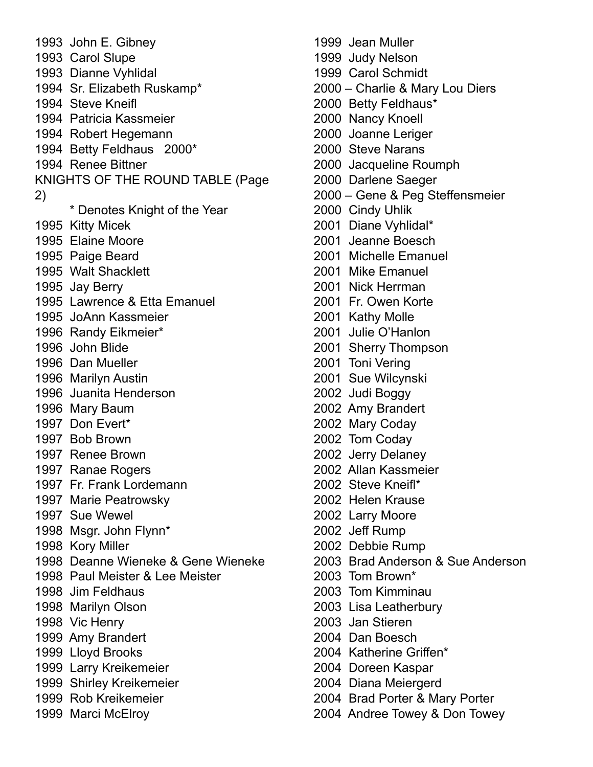John E. Gibney Carol Slupe Dianne Vyhlidal Sr. Elizabeth Ruskamp\* Steve Kneifl Patricia Kassmeier Robert Hegemann Betty Feldhaus 2000\* Renee Bittner KNIGHTS OF THE ROUND TABLE (Page 2) \* Denotes Knight of the Year Kitty Micek Elaine Moore Paige Beard Walt Shacklett Jay Berry Lawrence & Etta Emanuel JoAnn Kassmeier Randy Eikmeier\* John Blide Dan Mueller Marilyn Austin Juanita Henderson Mary Baum Don Evert\* Bob Brown Renee Brown Ranae Rogers Fr. Frank Lordemann Marie Peatrowsky Sue Wewel Msgr. John Flynn\* Kory Miller Deanne Wieneke & Gene Wieneke Paul Meister & Lee Meister Jim Feldhaus Marilyn Olson Vic Henry Amy Brandert Lloyd Brooks Larry Kreikemeier Shirley Kreikemeier Rob Kreikemeier Marci McElroy

 Jean Muller Judy Nelson Carol Schmidt – Charlie & Mary Lou Diers Betty Feldhaus\* Nancy Knoell Joanne Leriger Steve Narans Jacqueline Roumph Darlene Saeger – Gene & Peg Steffensmeier Cindy Uhlik Diane Vyhlidal\* Jeanne Boesch Michelle Emanuel Mike Emanuel Nick Herrman Fr. Owen Korte Kathy Molle Julie O'Hanlon Sherry Thompson Toni Vering Sue Wilcynski Judi Boggy Amy Brandert Mary Coday Tom Coday Jerry Delaney Allan Kassmeier Steve Kneifl\* Helen Krause Larry Moore Jeff Rump Debbie Rump Brad Anderson & Sue Anderson Tom Brown\* Tom Kimminau Lisa Leatherbury Jan Stieren Dan Boesch Katherine Griffen\* Doreen Kaspar Diana Meiergerd Brad Porter & Mary Porter

Andree Towey & Don Towey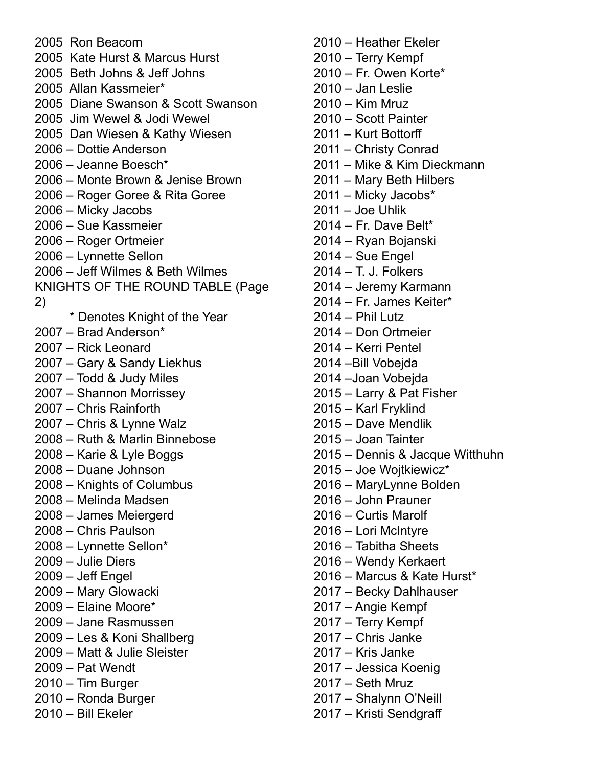Ron Beacom Kate Hurst & Marcus Hurst Beth Johns & Jeff Johns Allan Kassmeier\* Diane Swanson & Scott Swanson Jim Wewel & Jodi Wewel Dan Wiesen & Kathy Wiesen – Dottie Anderson – Jeanne Boesch\* – Monte Brown & Jenise Brown – Roger Goree & Rita Goree – Micky Jacobs – Sue Kassmeier – Roger Ortmeier – Lynnette Sellon – Jeff Wilmes & Beth Wilmes KNIGHTS OF THE ROUND TABLE (Page 2) \* Denotes Knight of the Year – Brad Anderson\* – Rick Leonard – Gary & Sandy Liekhus – Todd & Judy Miles – Shannon Morrissey – Chris Rainforth – Chris & Lynne Walz – Ruth & Marlin Binnebose – Karie & Lyle Boggs – Duane Johnson – Knights of Columbus – Melinda Madsen – James Meiergerd – Chris Paulson – Lynnette Sellon\* – Julie Diers – Jeff Engel – Mary Glowacki – Elaine Moore\* – Jane Rasmussen – Les & Koni Shallberg – Matt & Julie Sleister – Pat Wendt – Tim Burger – Ronda Burger – Bill Ekeler

- Heather Ekeler – Terry Kempf – Fr. Owen Korte\* – Jan Leslie – Kim Mruz – Scott Painter – Kurt Bottorff – Christy Conrad – Mike & Kim Dieckmann – Mary Beth Hilbers – Micky Jacobs\* – Joe Uhlik – Fr. Dave Belt\* – Ryan Bojanski – Sue Engel – T. J. Folkers – Jeremy Karmann – Fr. James Keiter\* – Phil Lutz – Don Ortmeier – Kerri Pentel –Bill Vobejda –Joan Vobejda – Larry & Pat Fisher – Karl Fryklind – Dave Mendlik – Joan Tainter – Dennis & Jacque Witthuhn – Joe Wojtkiewicz\* – MaryLynne Bolden – John Prauner – Curtis Marolf – Lori McIntyre – Tabitha Sheets – Wendy Kerkaert – Marcus & Kate Hurst\* – Becky Dahlhauser – Angie Kempf – Terry Kempf – Chris Janke – Kris Janke – Jessica Koenig – Seth Mruz – Shalynn O'Neill
- Kristi Sendgraff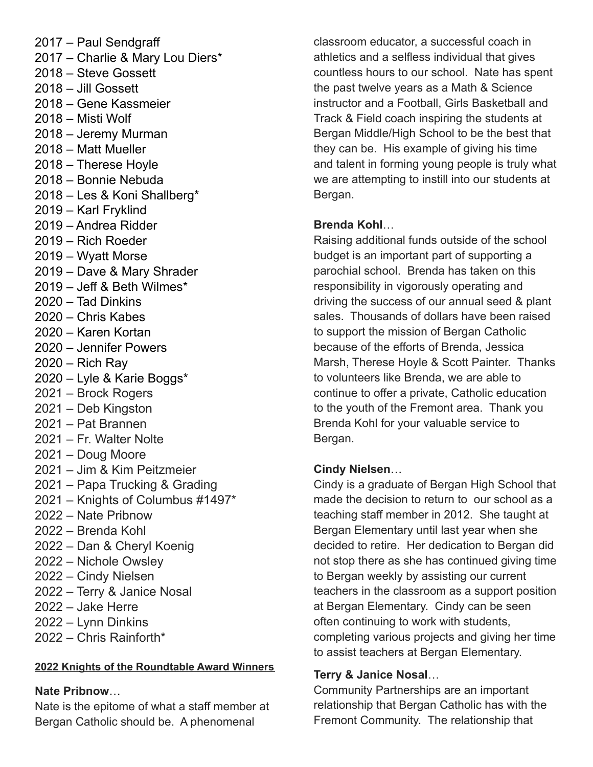– Paul Sendgraff – Charlie & Mary Lou Diers\* – Steve Gossett – Jill Gossett – Gene Kassmeier – Misti Wolf – Jeremy Murman – Matt Mueller – Therese Hoyle – Bonnie Nebuda – Les & Koni Shallberg\* – Karl Fryklind – Andrea Ridder – Rich Roeder – Wyatt Morse – Dave & Mary Shrader – Jeff & Beth Wilmes\* – Tad Dinkins – Chris Kabes – Karen Kortan – Jennifer Powers – Rich Ray – Lyle & Karie Boggs\* – Brock Rogers – Deb Kingston – Pat Brannen – Fr. Walter Nolte – Doug Moore – Jim & Kim Peitzmeier – Papa Trucking & Grading – Knights of Columbus #1497\* – Nate Pribnow – Brenda Kohl – Dan & Cheryl Koenig – Nichole Owsley – Cindy Nielsen – Terry & Janice Nosal – Jake Herre – Lynn Dinkins – Chris Rainforth\*

#### **2022 Knights of the Roundtable Award Winners**

#### **Nate Pribnow**…

Nate is the epitome of what a staff member at Bergan Catholic should be. A phenomenal

classroom educator, a successful coach in athletics and a selfless individual that gives countless hours to our school. Nate has spent the past twelve years as a Math & Science instructor and a Football, Girls Basketball and Track & Field coach inspiring the students at Bergan Middle/High School to be the best that they can be. His example of giving his time and talent in forming young people is truly what we are attempting to instill into our students at Bergan.

#### **Brenda Kohl**…

Raising additional funds outside of the school budget is an important part of supporting a parochial school. Brenda has taken on this responsibility in vigorously operating and driving the success of our annual seed & plant sales. Thousands of dollars have been raised to support the mission of Bergan Catholic because of the efforts of Brenda, Jessica Marsh, Therese Hoyle & Scott Painter. Thanks to volunteers like Brenda, we are able to continue to offer a private, Catholic education to the youth of the Fremont area. Thank you Brenda Kohl for your valuable service to Bergan.

#### **Cindy Nielsen**…

Cindy is a graduate of Bergan High School that made the decision to return to our school as a teaching staff member in 2012. She taught at Bergan Elementary until last year when she decided to retire. Her dedication to Bergan did not stop there as she has continued giving time to Bergan weekly by assisting our current teachers in the classroom as a support position at Bergan Elementary. Cindy can be seen often continuing to work with students, completing various projects and giving her time to assist teachers at Bergan Elementary.

#### **Terry & Janice Nosal**…

Community Partnerships are an important relationship that Bergan Catholic has with the Fremont Community. The relationship that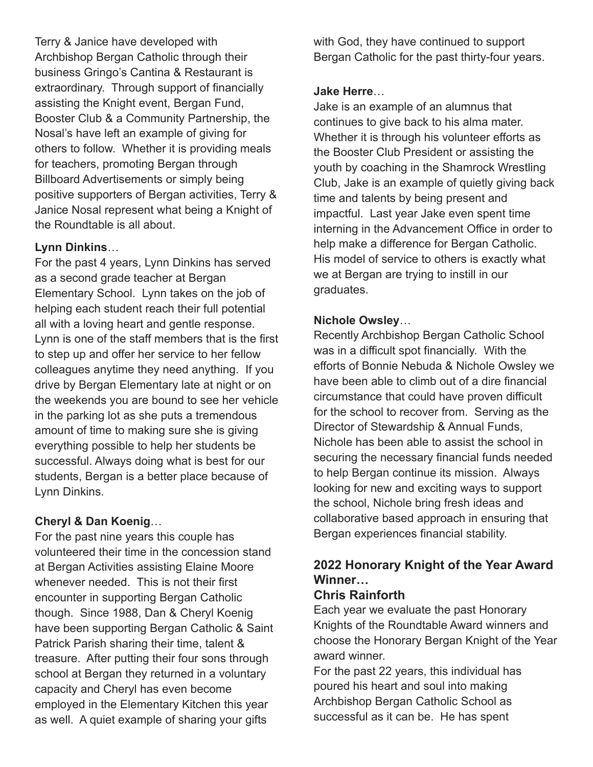Terry & Janice have developed with Archbishop Bergan Catholic through their business Gringo's Cantina & Restaurant is extraordinary. Through support of financially assisting the Knight event, Bergan Fund, Booster Club & a Community Partnership, the Nosal's have left an example of giving for others to follow. Whether it is providing meals for teachers, promoting Bergan through Billboard Advertisements or simply being positive supporters of Bergan activities, Terry & Janice Nosal represent what being a Knight of the Roundtable is all about.

#### **Lynn Dinkins**…

For the past 4 years, Lynn Dinkins has served as a second grade teacher at Bergan Elementary School. Lynn takes on the job of helping each student reach their full potential all with a loving heart and gentle response. Lynn is one of the staff members that is the first to step up and offer her service to her fellow colleagues anytime they need anything. If you drive by Bergan Elementary late at night or on the weekends you are bound to see her vehicle in the parking lot as she puts a tremendous amount of time to making sure she is giving everything possible to help her students be successful. Always doing what is best for our students, Bergan is a better place because of Lynn Dinkins.

#### **Cheryl & Dan Koenig**…

For the past nine years this couple has volunteered their time in the concession stand at Bergan Activities assisting Elaine Moore whenever needed. This is not their first encounter in supporting Bergan Catholic though. Since 1988, Dan & Cheryl Koenig have been supporting Bergan Catholic & Saint Patrick Parish sharing their time, talent & treasure. After putting their four sons through school at Bergan they returned in a voluntary capacity and Cheryl has even become employed in the Elementary Kitchen this year as well. A quiet example of sharing your gifts

with God, they have continued to support Bergan Catholic for the past thirty-four years.

## **Jake Herre**…

Jake is an example of an alumnus that continues to give back to his alma mater. Whether it is through his volunteer efforts as the Booster Club President or assisting the youth by coaching in the Shamrock Wrestling Club, Jake is an example of quietly giving back time and talents by being present and impactful. Last year Jake even spent time interning in the Advancement Office in order to help make a difference for Bergan Catholic. His model of service to others is exactly what we at Bergan are trying to instill in our graduates.

## **Nichole Owsley**…

Recently Archbishop Bergan Catholic School was in a difficult spot financially. With the efforts of Bonnie Nebuda & Nichole Owsley we have been able to climb out of a dire financial circumstance that could have proven difficult for the school to recover from. Serving as the Director of Stewardship & Annual Funds, Nichole has been able to assist the school in securing the necessary financial funds needed to help Bergan continue its mission. Always looking for new and exciting ways to support the school, Nichole bring fresh ideas and collaborative based approach in ensuring that Bergan experiences financial stability.

# **2022 Honorary Knight of the Year Award Winner…**

## **Chris Rainforth**

Each year we evaluate the past Honorary Knights of the Roundtable Award winners and choose the Honorary Bergan Knight of the Year award winner.

For the past 22 years, this individual has poured his heart and soul into making Archbishop Bergan Catholic School as successful as it can be. He has spent